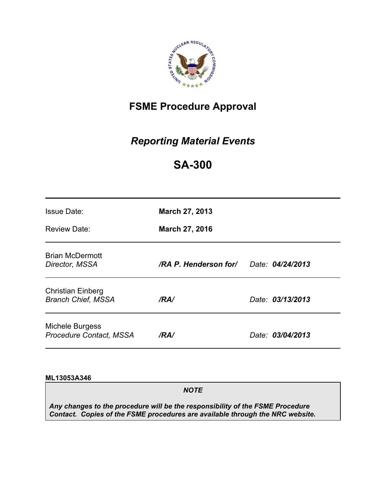

# **FSME Procedure Approval**

# *Reporting Material Events*

# **SA-300**

| <b>Issue Date:</b><br>Review Date:                    | <b>March 27, 2013</b><br>March 27, 2016 |                  |
|-------------------------------------------------------|-----------------------------------------|------------------|
| <b>Brian McDermott</b><br>Director, MSSA              | /RA P. Henderson for/                   | Date: 04/24/2013 |
| <b>Christian Einberg</b><br><b>Branch Chief, MSSA</b> | /RA/                                    | Date: 03/13/2013 |
| Michele Burgess<br><b>Procedure Contact, MSSA</b>     | /RA/                                    | Date: 03/04/2013 |

#### **ML13053A346**

*NOTE* 

*Any changes to the procedure will be the responsibility of the FSME Procedure Contact. Copies of the FSME procedures are available through the NRC website.*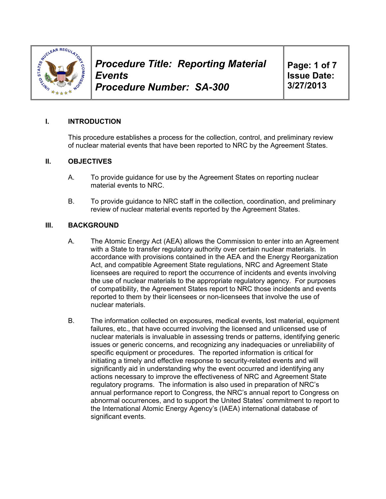

**Page: 1 of 7 Issue Date: 3/27/2013** 

## **I. INTRODUCTION**

This procedure establishes a process for the collection, control, and preliminary review of nuclear material events that have been reported to NRC by the Agreement States.

#### **II. OBJECTIVES**

- A. To provide guidance for use by the Agreement States on reporting nuclear material events to NRC.
- B. To provide guidance to NRC staff in the collection, coordination, and preliminary review of nuclear material events reported by the Agreement States.

#### **III. BACKGROUND**

- A. The Atomic Energy Act (AEA) allows the Commission to enter into an Agreement with a State to transfer regulatory authority over certain nuclear materials. In accordance with provisions contained in the AEA and the Energy Reorganization Act, and compatible Agreement State regulations, NRC and Agreement State licensees are required to report the occurrence of incidents and events involving the use of nuclear materials to the appropriate regulatory agency. For purposes of compatibility, the Agreement States report to NRC those incidents and events reported to them by their licensees or non-licensees that involve the use of nuclear materials.
- B. The information collected on exposures, medical events, lost material, equipment failures, etc., that have occurred involving the licensed and unlicensed use of nuclear materials is invaluable in assessing trends or patterns, identifying generic issues or generic concerns, and recognizing any inadequacies or unreliability of specific equipment or procedures. The reported information is critical for initiating a timely and effective response to security-related events and will significantly aid in understanding why the event occurred and identifying any actions necessary to improve the effectiveness of NRC and Agreement State regulatory programs. The information is also used in preparation of NRC's annual performance report to Congress, the NRC's annual report to Congress on abnormal occurrences, and to support the United States' commitment to report to the International Atomic Energy Agency's (IAEA) international database of significant events.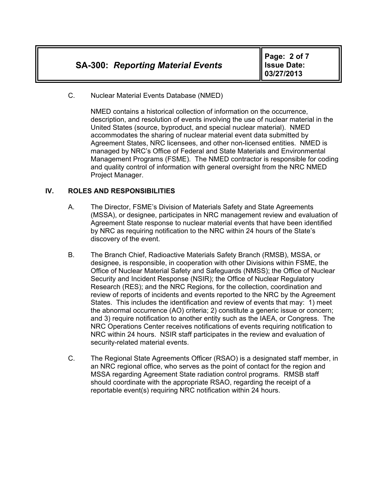C. Nuclear Material Events Database (NMED)

NMED contains a historical collection of information on the occurrence, description, and resolution of events involving the use of nuclear material in the United States (source, byproduct, and special nuclear material). NMED accommodates the sharing of nuclear material event data submitted by Agreement States, NRC licensees, and other non-licensed entities. NMED is managed by NRC's Office of Federal and State Materials and Environmental Management Programs (FSME). The NMED contractor is responsible for coding and quality control of information with general oversight from the NRC NMED Project Manager.

# **IV. ROLES AND RESPONSIBILITIES**

- A. The Director, FSME's Division of Materials Safety and State Agreements (MSSA), or designee, participates in NRC management review and evaluation of Agreement State response to nuclear material events that have been identified by NRC as requiring notification to the NRC within 24 hours of the State's discovery of the event.
- B. The Branch Chief, Radioactive Materials Safety Branch (RMSB), MSSA, or designee, is responsible, in cooperation with other Divisions within FSME, the Office of Nuclear Material Safety and Safeguards (NMSS); the Office of Nuclear Security and Incident Response (NSIR); the Office of Nuclear Regulatory Research (RES); and the NRC Regions, for the collection, coordination and review of reports of incidents and events reported to the NRC by the Agreement States. This includes the identification and review of events that may: 1) meet the abnormal occurrence (AO) criteria; 2) constitute a generic issue or concern; and 3) require notification to another entity such as the IAEA, or Congress. The NRC Operations Center receives notifications of events requiring notification to NRC within 24 hours. NSIR staff participates in the review and evaluation of security-related material events.
- C. The Regional State Agreements Officer (RSAO) is a designated staff member, in an NRC regional office, who serves as the point of contact for the region and MSSA regarding Agreement State radiation control programs. RMSB staff should coordinate with the appropriate RSAO, regarding the receipt of a reportable event(s) requiring NRC notification within 24 hours.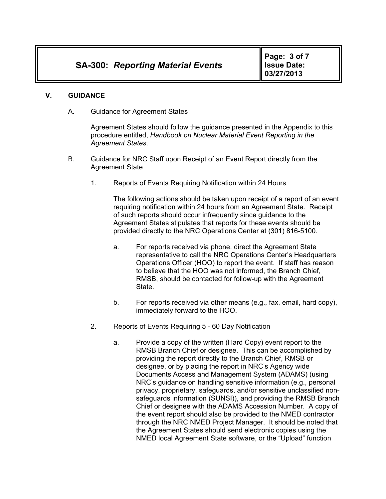#### **V. GUIDANCE**

A. Guidance for Agreement States

Agreement States should follow the guidance presented in the Appendix to this procedure entitled, *Handbook on Nuclear Material Event Reporting in the Agreement States*.

- B. Guidance for NRC Staff upon Receipt of an Event Report directly from the Agreement State
	- 1. Reports of Events Requiring Notification within 24 Hours

The following actions should be taken upon receipt of a report of an event requiring notification within 24 hours from an Agreement State. Receipt of such reports should occur infrequently since guidance to the Agreement States stipulates that reports for these events should be provided directly to the NRC Operations Center at (301) 816-5100.

- a. For reports received via phone, direct the Agreement State representative to call the NRC Operations Center's Headquarters Operations Officer (HOO) to report the event. If staff has reason to believe that the HOO was not informed, the Branch Chief, RMSB, should be contacted for follow-up with the Agreement State.
- b. For reports received via other means (e.g., fax, email, hard copy), immediately forward to the HOO.
- 2. Reports of Events Requiring 5 60 Day Notification
	- a. Provide a copy of the written (Hard Copy) event report to the RMSB Branch Chief or designee. This can be accomplished by providing the report directly to the Branch Chief, RMSB or designee, or by placing the report in NRC's Agency wide Documents Access and Management System (ADAMS) (using NRC's guidance on handling sensitive information (e.g., personal privacy, proprietary, safeguards, and/or sensitive unclassified nonsafeguards information (SUNSI)), and providing the RMSB Branch Chief or designee with the ADAMS Accession Number. A copy of the event report should also be provided to the NMED contractor through the NRC NMED Project Manager. It should be noted that the Agreement States should send electronic copies using the NMED local Agreement State software, or the "Upload" function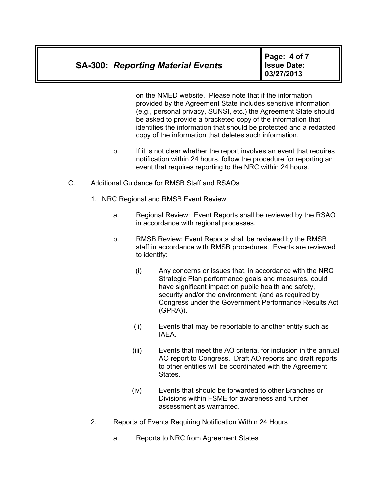# **SA-300:** *Reporting Material Events*

**Page: 4 of 7 Issue Date: 03/27/2013** 

on the NMED website. Please note that if the information provided by the Agreement State includes sensitive information (e.g., personal privacy, SUNSI, etc.) the Agreement State should be asked to provide a bracketed copy of the information that identifies the information that should be protected and a redacted copy of the information that deletes such information.

- b. If it is not clear whether the report involves an event that requires notification within 24 hours, follow the procedure for reporting an event that requires reporting to the NRC within 24 hours.
- C. Additional Guidance for RMSB Staff and RSAOs
	- 1. NRC Regional and RMSB Event Review
		- a. Regional Review: Event Reports shall be reviewed by the RSAO in accordance with regional processes.
		- b. RMSB Review: Event Reports shall be reviewed by the RMSB staff in accordance with RMSB procedures. Events are reviewed to identify:
			- (i) Any concerns or issues that, in accordance with the NRC Strategic Plan performance goals and measures, could have significant impact on public health and safety, security and/or the environment; (and as required by Congress under the Government Performance Results Act (GPRA)).
			- (ii) Events that may be reportable to another entity such as IAEA.
			- (iii) Events that meet the AO criteria, for inclusion in the annual AO report to Congress. Draft AO reports and draft reports to other entities will be coordinated with the Agreement States.
			- (iv) Events that should be forwarded to other Branches or Divisions within FSME for awareness and further assessment as warranted.
	- 2. Reports of Events Requiring Notification Within 24 Hours
		- a. Reports to NRC from Agreement States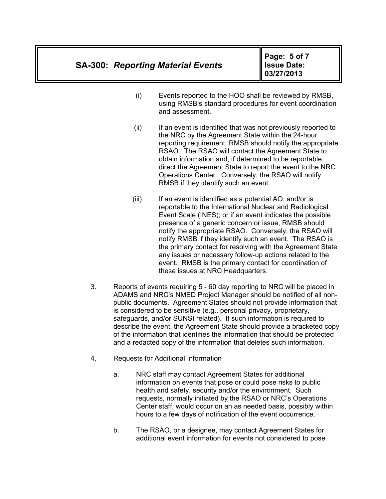**Page: 5 of 7 Issue Date: 03/27/2013** 

- (i) Events reported to the HOO shall be reviewed by RMSB, using RMSB's standard procedures for event coordination and assessment.
- (ii) If an event is identified that was not previously reported to the NRC by the Agreement State within the 24-hour reporting requirement, RMSB should notify the appropriate RSAO. The RSAO will contact the Agreement State to obtain information and, if determined to be reportable, direct the Agreement State to report the event to the NRC Operations Center. Conversely, the RSAO will notify RMSB if they identify such an event.
- $(iii)$  If an event is identified as a potential AO; and/or is reportable to the International Nuclear and Radiological Event Scale (INES); or if an event indicates the possible presence of a generic concern or issue, RMSB should notify the appropriate RSAO. Conversely, the RSAO will notify RMSB if they identify such an event. The RSAO is the primary contact for resolving with the Agreement State any issues or necessary follow-up actions related to the event. RMSB is the primary contact for coordination of these issues at NRC Headquarters.
- 3. Reports of events requiring 5 60 day reporting to NRC will be placed in ADAMS and NRC's NMED Project Manager should be notified of all nonpublic documents. Agreement States should not provide information that is considered to be sensitive (e.g., personal privacy, proprietary, safeguards, and/or SUNSI related). If such information is required to describe the event, the Agreement State should provide a bracketed copy of the information that identifies the information that should be protected and a redacted copy of the information that deletes such information.
- 4. Requests for Additional Information
	- a. NRC staff may contact Agreement States for additional information on events that pose or could pose risks to public health and safety, security and/or the environment. Such requests, normally initiated by the RSAO or NRC's Operations Center staff, would occur on an as needed basis, possibly within hours to a few days of notification of the event occurrence.
	- b. The RSAO, or a designee, may contact Agreement States for additional event information for events not considered to pose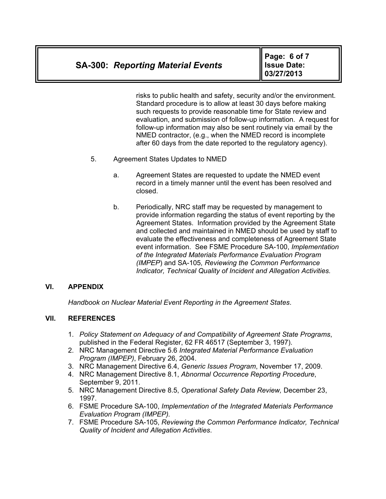**Page: 6 of 7 Issue Date: 03/27/2013** 

risks to public health and safety, security and/or the environment. Standard procedure is to allow at least 30 days before making such requests to provide reasonable time for State review and evaluation, and submission of follow-up information. A request for follow-up information may also be sent routinely via email by the NMED contractor, (e.g., when the NMED record is incomplete after 60 days from the date reported to the regulatory agency).

- 5. Agreement States Updates to NMED
	- a. Agreement States are requested to update the NMED event record in a timely manner until the event has been resolved and closed.
	- b. Periodically, NRC staff may be requested by management to provide information regarding the status of event reporting by the Agreement States. Information provided by the Agreement State and collected and maintained in NMED should be used by staff to evaluate the effectiveness and completeness of Agreement State event information. See FSME Procedure SA-100, *Implementation of the Integrated Materials Performance Evaluation Program (IMPEP*) and SA-105*, Reviewing the Common Performance Indicator, Technical Quality of Incident and Allegation Activities.*

## **VI. APPENDIX**

*Handbook on Nuclear Material Event Reporting in the Agreement States*.

## **VII. REFERENCES**

- 1. *Policy Statement on Adequacy of and Compatibility of Agreement State Programs*, published in the Federal Register, 62 FR 46517 (September 3, 1997).
- 2. NRC Management Directive 5.6 *Integrated Material Performance Evaluation Program (IMPEP)*, February 26, 2004.
- 3. NRC Management Directive 6.4, *Generic Issues Program*, November 17, 2009.
- 4. NRC Management Directive 8.1, *Abnormal Occurrence Reporting Procedure*, September 9, 2011.
- 5. NRC Management Directive 8.5, *Operational Safety Data Review,* December 23, 1997.
- 6. FSME Procedure SA-100, *Implementation of the Integrated Materials Performance Evaluation Program (IMPEP).*
- 7. FSME Procedure SA-105, *Reviewing the Common Performance Indicator, Technical Quality of Incident and Allegation Activities*.